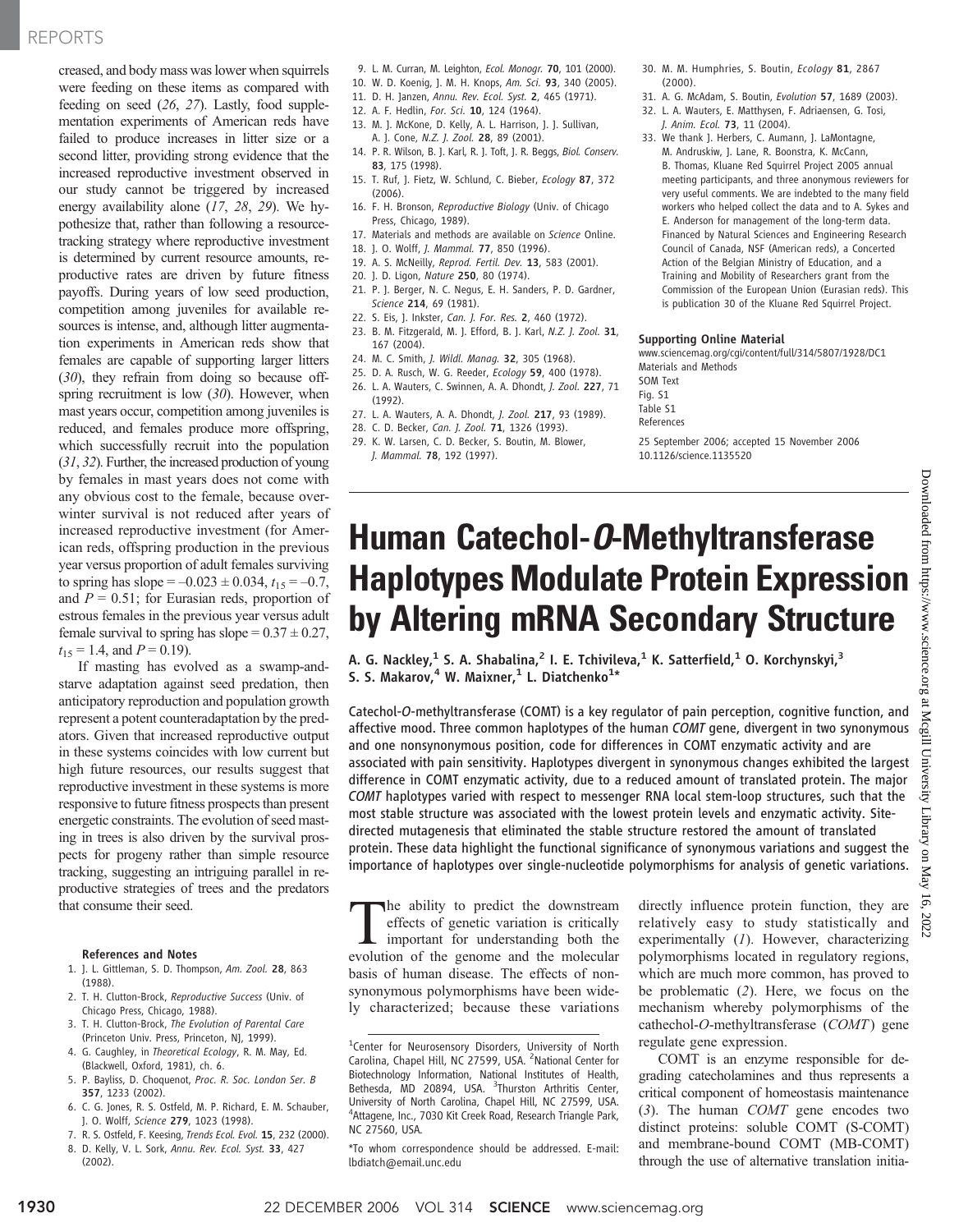## REPORTS

creased, and body mass was lower when squirrels were feeding on these items as compared with feeding on seed (26, 27). Lastly, food supplementation experiments of American reds have failed to produce increases in litter size or a second litter, providing strong evidence that the increased reproductive investment observed in our study cannot be triggered by increased energy availability alone (17, 28, 29). We hypothesize that, rather than following a resourcetracking strategy where reproductive investment is determined by current resource amounts, reproductive rates are driven by future fitness payoffs. During years of low seed production, competition among juveniles for available resources is intense, and, although litter augmentation experiments in American reds show that females are capable of supporting larger litters (30), they refrain from doing so because offspring recruitment is low  $(30)$ . However, when mast years occur, competition among juveniles is reduced, and females produce more offspring, which successfully recruit into the population (31, 32). Further, the increased production of young by females in mast years does not come with any obvious cost to the female, because overwinter survival is not reduced after years of increased reproductive investment (for American reds, offspring production in the previous year versus proportion of adult females surviving to spring has slope =  $-0.023 \pm 0.034$ ,  $t_{15} = -0.7$ , and  $P = 0.51$ ; for Eurasian reds, proportion of estrous females in the previous year versus adult female survival to spring has slope =  $0.37 \pm 0.27$ ,  $t_{15} = 1.4$ , and  $P = 0.19$ ).

If masting has evolved as a swamp-andstarve adaptation against seed predation, then anticipatory reproduction and population growth represent a potent counteradaptation by the predators. Given that increased reproductive output in these systems coincides with low current but high future resources, our results suggest that reproductive investment in these systems is more responsive to future fitness prospects than present energetic constraints. The evolution of seed masting in trees is also driven by the survival prospects for progeny rather than simple resource tracking, suggesting an intriguing parallel in reproductive strategies of trees and the predators that consume their seed.

#### References and Notes

- 1. J. L. Gittleman, S. D. Thompson, Am. Zool. 28, 863 (1988).
- 2. T. H. Clutton-Brock, Reproductive Success (Univ. of Chicago Press, Chicago, 1988).
- 3. T. H. Clutton-Brock, The Evolution of Parental Care (Princeton Univ. Press, Princeton, NJ, 1999).
- 4. G. Caughley, in Theoretical Ecology, R. M. May, Ed. (Blackwell, Oxford, 1981), ch. 6.
- 5. P. Bayliss, D. Choquenot, Proc. R. Soc. London Ser. B 357, 1233 (2002).
- 6. C. G. Jones, R. S. Ostfeld, M. P. Richard, E. M. Schauber, J. O. Wolff, Science 279, 1023 (1998).
- 7. R. S. Ostfeld, F. Keesing, Trends Ecol. Evol. 15, 232 (2000).
- 8. D. Kelly, V. L. Sork, Annu. Rev. Ecol. Syst. 33, 427 (2002).
- 9. L. M. Curran, M. Leighton, Ecol. Monogr. 70, 101 (2000).
- 10. W. D. Koenig, J. M. H. Knops, Am. Sci. 93, 340 (2005).
- 11. D. H. Janzen, Annu. Rev. Ecol. Syst. 2, 465 (1971).
- 12. A. F. Hedlin, For. Sci. 10, 124 (1964).
- 13. M. J. McKone, D. Kelly, A. L. Harrison, J. J. Sullivan, A. J. Cone, N.Z. J. Zool. 28, 89 (2001).
- 14. P. R. Wilson, B. J. Karl, R. J. Toft, J. R. Beggs, Biol. Conserv. 83, 175 (1998).
- 15. T. Ruf, J. Fietz, W. Schlund, C. Bieber, Ecology 87, 372 (2006).
- 16. F. H. Bronson, Reproductive Biology (Univ. of Chicago Press, Chicago, 1989).
- 17. Materials and methods are available on Science Online.
- 18. J. O. Wolff, J. Mammal. 77, 850 (1996).
- 19. A. S. McNeilly, Reprod. Fertil. Dev. 13, 583 (2001).
- 20. J. D. Ligon, Nature 250, 80 (1974).
- 21. P. J. Berger, N. C. Negus, E. H. Sanders, P. D. Gardner, Science 214, 69 (1981).
- 22. S. Eis, J. Inkster, Can. J. For. Res. 2, 460 (1972).
- 23. B. M. Fitzgerald, M. J. Efford, B. J. Karl, N.Z. J. Zool. 31, 167 (2004).
- 24. M. C. Smith, J. Wildl. Manag. 32, 305 (1968).
- 25. D. A. Rusch, W. G. Reeder, Ecology 59, 400 (1978).
- 26. L. A. Wauters, C. Swinnen, A. A. Dhondt, J. Zool. 227, 71 (1992).
- 27. L. A. Wauters, A. A. Dhondt, J. Zool. 217, 93 (1989).
- 28. C. D. Becker, Can. J. Zool. 71, 1326 (1993).
- 29. K. W. Larsen, C. D. Becker, S. Boutin, M. Blower, J. Mammal. 78, 192 (1997).
- 30. M. M. Humphries, S. Boutin, Ecology 81, 2867 (2000).
- 31. A. G. McAdam, S. Boutin, Evolution 57, 1689 (2003).
- 32. L. A. Wauters, E. Matthysen, F. Adriaensen, G. Tosi, J. Anim. Ecol. 73, 11 (2004).
- 33. We thank J. Herbers, C. Aumann, J. LaMontagne, M. Andruskiw, J. Lane, R. Boonstra, K. McCann, B. Thomas, Kluane Red Squirrel Project 2005 annual meeting participants, and three anonymous reviewers for very useful comments. We are indebted to the many field workers who helped collect the data and to A. Sykes and E. Anderson for management of the long-term data. Financed by Natural Sciences and Engineering Research Council of Canada, NSF (American reds), a Concerted Action of the Belgian Ministry of Education, and a Training and Mobility of Researchers grant from the Commission of the European Union (Eurasian reds). This is publication 30 of the Kluane Red Squirrel Project.

#### Supporting Online Material

www.sciencemag.org/cgi/content/full/314/5807/1928/DC1 Materials and Methods

SOM Text Fig. S1 Table S1 References

25 September 2006; accepted 15 November 2006 10.1126/science.1135520

## Human Catechol-*O*-Methyltransferase Haplotypes Modulate Protein Expression by Altering mRNA Secondary Structure

A. G. Nackley,<sup>1</sup> S. A. Shabalina,<sup>2</sup> I. E. Tchivileva,<sup>1</sup> K. Satterfield,<sup>1</sup> O. Korchynskyi,<sup>3</sup> S. S. Makarov, <sup>4</sup> W. Maixner, <sup>1</sup> L. Diatchenko<sup>1\*</sup>

Catechol-O-methyltransferase (COMT) is a key regulator of pain perception, cognitive function, and affective mood. Three common haplotypes of the human COMT gene, divergent in two synonymous and one nonsynonymous position, code for differences in COMT enzymatic activity and are associated with pain sensitivity. Haplotypes divergent in synonymous changes exhibited the largest difference in COMT enzymatic activity, due to a reduced amount of translated protein. The major COMT haplotypes varied with respect to messenger RNA local stem-loop structures, such that the most stable structure was associated with the lowest protein levels and enzymatic activity. Sitedirected mutagenesis that eliminated the stable structure restored the amount of translated protein. These data highlight the functional significance of synonymous variations and suggest the importance of haplotypes over single-nucleotide polymorphisms for analysis of genetic variations.

The ability to predict the downstream<br>effects of genetic variation is critically<br>important for understanding both the<br>evolution of the genome and the molecular effects of genetic variation is critically important for understanding both the evolution of the genome and the molecular basis of human disease. The effects of nonsynonymous polymorphisms have been widely characterized; because these variations

directly influence protein function, they are relatively easy to study statistically and experimentally (1). However, characterizing polymorphisms located in regulatory regions, which are much more common, has proved to be problematic (2). Here, we focus on the mechanism whereby polymorphisms of the cathechol-O-methyltransferase (COMT) gene regulate gene expression.

COMT is an enzyme responsible for degrading catecholamines and thus represents a critical component of homeostasis maintenance  $(3)$ . The human *COMT* gene encodes two distinct proteins: soluble COMT (S-COMT) and membrane-bound COMT (MB-COMT) through the use of alternative translation initia-

<sup>&</sup>lt;sup>1</sup>Center for Neurosensory Disorders, University of North Carolina, Chapel Hill, NC 27599, USA. <sup>2</sup> National Center for Biotechnology Information, National Institutes of Health, Bethesda, MD 20894, USA. <sup>3</sup>Thurston Arthritis Center, University of North Carolina, Chapel Hill, NC 27599, USA. 4 Attagene, Inc., 7030 Kit Creek Road, Research Triangle Park, NC 27560, USA.

<sup>\*</sup>To whom correspondence should be addressed. E-mail: lbdiatch@email.unc.edu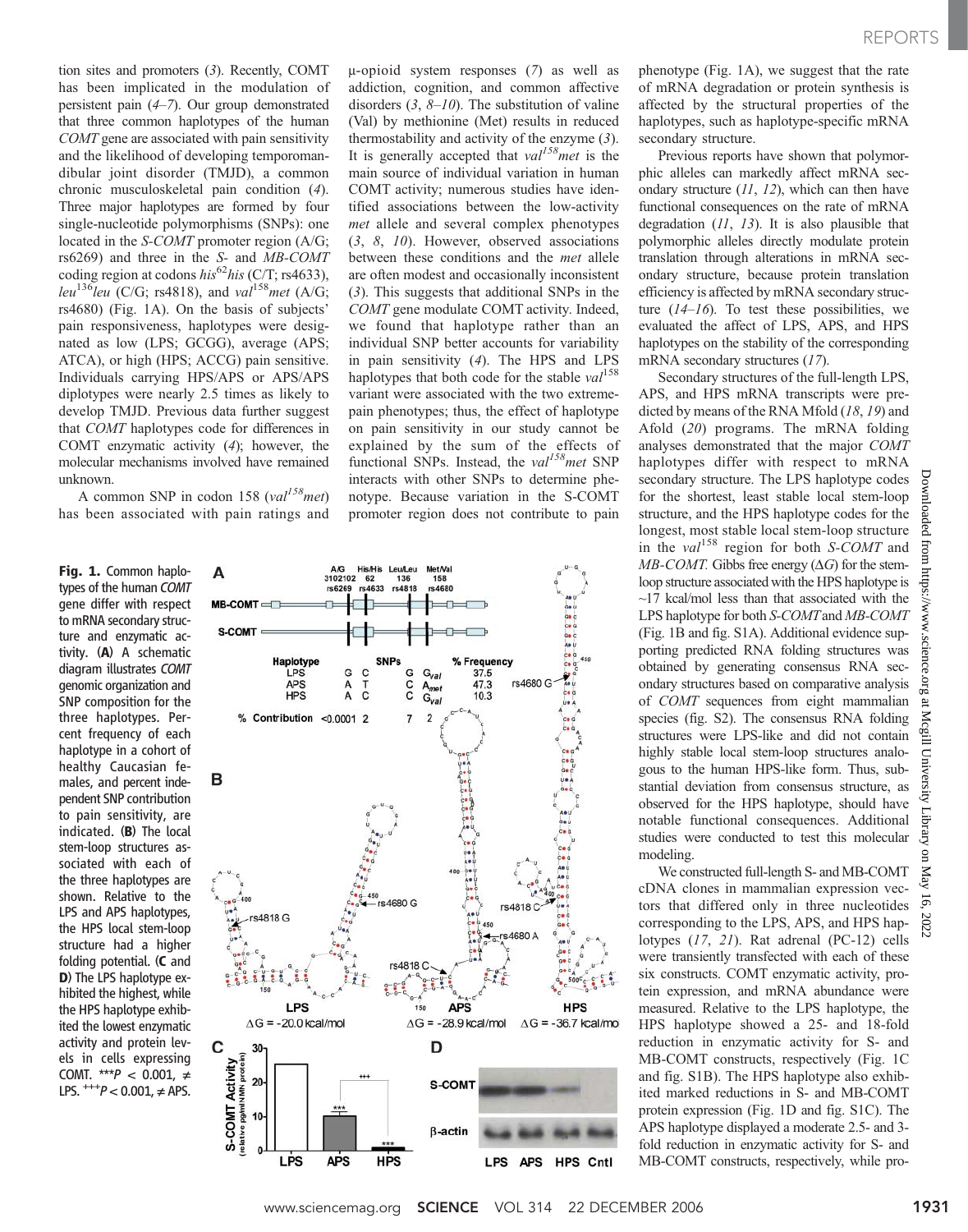tion sites and promoters (3). Recently, COMT has been implicated in the modulation of persistent pain (4–7). Our group demonstrated that three common haplotypes of the human COMT gene are associated with pain sensitivity and the likelihood of developing temporomandibular joint disorder (TMJD), a common chronic musculoskeletal pain condition (4). Three major haplotypes are formed by four single-nucleotide polymorphisms (SNPs): one located in the *S-COMT* promoter region (A/G; rs6269) and three in the S- and MB-COMT coding region at codons  $his^{62}his$  (C/T; rs4633), leu<sup>136</sup>leu (C/G; rs4818), and val<sup>158</sup>met (A/G; rs4680) (Fig. 1A). On the basis of subjects' pain responsiveness, haplotypes were designated as low (LPS; GCGG), average (APS; ATCA), or high (HPS; ACCG) pain sensitive. Individuals carrying HPS/APS or APS/APS diplotypes were nearly 2.5 times as likely to develop TMJD. Previous data further suggest that COMT haplotypes code for differences in COMT enzymatic activity (4); however, the molecular mechanisms involved have remained unknown.

A common SNP in codon 158 (val<sup>158</sup>met) has been associated with pain ratings and

Fig. 1. Common haplotypes of the human COMT gene differ with respect to mRNA secondary structure and enzymatic activity. (A) A schematic diagram illustrates COMT genomic organization and SNP composition for the three haplotypes. Percent frequency of each haplotype in a cohort of healthy Caucasian females, and percent independent SNP contribution to pain sensitivity, are indicated. (B) The local stem-loop structures associated with each of the three haplotypes are shown. Relative to the LPS and APS haplotypes, the HPS local stem-loop structure had a higher folding potential. (C and D) The LPS haplotype exhibited the highest, while the HPS haplotype exhibited the lowest enzymatic activity and protein levels in cells expressing COMT. \*\*\* $P$  < 0.001, ≠ LPS.  $^{+++}P < 0.001$ , ≠ APS.

 $\mu$ -opioid system responses (7) as well as addiction, cognition, and common affective disorders  $(3, 8-10)$ . The substitution of valine (Val) by methionine (Met) results in reduced thermostability and activity of the enzyme (3). It is generally accepted that  $val^{158}$  met is the main source of individual variation in human COMT activity; numerous studies have identified associations between the low-activity met allele and several complex phenotypes (3, 8, 10). However, observed associations between these conditions and the *met* allele are often modest and occasionally inconsistent (3). This suggests that additional SNPs in the COMT gene modulate COMT activity. Indeed, we found that haplotype rather than an individual SNP better accounts for variability in pain sensitivity (4). The HPS and LPS haplotypes that both code for the stable  $val^{158}$ variant were associated with the two extremepain phenotypes; thus, the effect of haplotype on pain sensitivity in our study cannot be explained by the sum of the effects of functional SNPs. Instead, the  $val^{158}$ met SNP interacts with other SNPs to determine phenotype. Because variation in the S-COMT promoter region does not contribute to pain



phenotype (Fig. 1A), we suggest that the rate of mRNA degradation or protein synthesis is affected by the structural properties of the haplotypes, such as haplotype-specific mRNA secondary structure.

Previous reports have shown that polymorphic alleles can markedly affect mRNA secondary structure  $(11, 12)$ , which can then have functional consequences on the rate of mRNA degradation  $(11, 13)$ . It is also plausible that polymorphic alleles directly modulate protein translation through alterations in mRNA secondary structure, because protein translation efficiency is affected by mRNA secondary structure  $(14-16)$ . To test these possibilities, we evaluated the affect of LPS, APS, and HPS haplotypes on the stability of the corresponding mRNA secondary structures (17).

Secondary structures of the full-length LPS, APS, and HPS mRNA transcripts were predicted by means of the RNA Mfold (18, 19) and Afold (20) programs. The mRNA folding analyses demonstrated that the major COMT haplotypes differ with respect to mRNA secondary structure. The LPS haplotype codes for the shortest, least stable local stem-loop structure, and the HPS haplotype codes for the longest, most stable local stem-loop structure in the val<sup>158</sup> region for both S-COMT and  $MB-COMT$ . Gibbs free energy ( $\Delta G$ ) for the stemloop structure associated with the HPS haplotype is  $\sim$ 17 kcal/mol less than that associated with the LPS haplotype for both S-COMT and MB-COMT (Fig. 1B and fig. S1A). Additional evidence supporting predicted RNA folding structures was obtained by generating consensus RNA secondary structures based on comparative analysis of COMT sequences from eight mammalian species (fig. S2). The consensus RNA folding structures were LPS-like and did not contain highly stable local stem-loop structures analogous to the human HPS-like form. Thus, substantial deviation from consensus structure, as observed for the HPS haplotype, should have notable functional consequences. Additional studies were conducted to test this molecular modeling.

We constructed full-length S- and MB-COMT cDNA clones in mammalian expression vectors that differed only in three nucleotides corresponding to the LPS, APS, and HPS haplotypes (17, 21). Rat adrenal (PC-12) cells were transiently transfected with each of these six constructs. COMT enzymatic activity, protein expression, and mRNA abundance were measured. Relative to the LPS haplotype, the HPS haplotype showed a 25- and 18-fold reduction in enzymatic activity for S- and MB-COMT constructs, respectively (Fig. 1C and fig. S1B). The HPS haplotype also exhibited marked reductions in S- and MB-COMT protein expression (Fig. 1D and fig. S1C). The APS haplotype displayed a moderate 2.5- and 3 fold reduction in enzymatic activity for S- and MB-COMT constructs, respectively, while pro-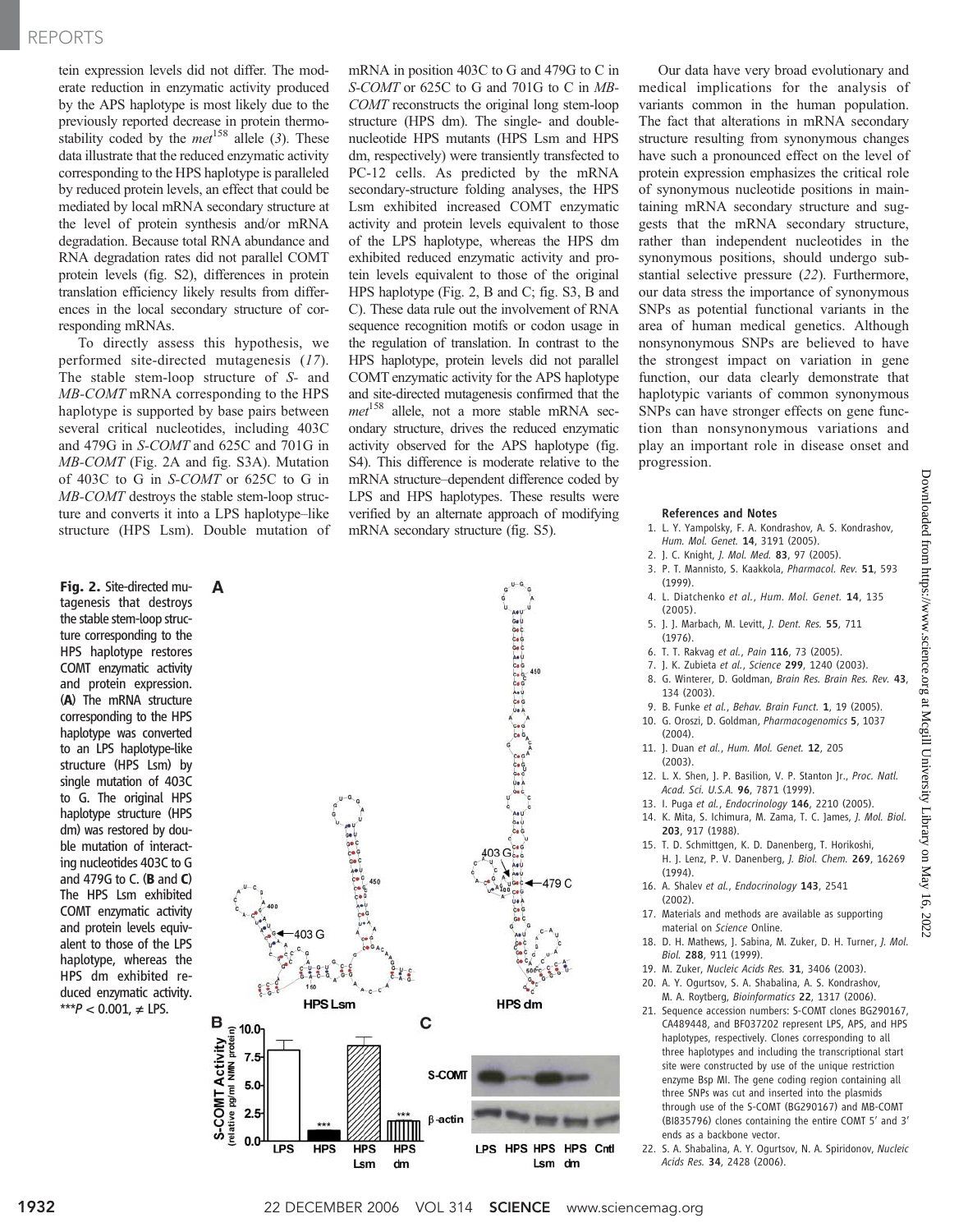## REPORTS

tein expression levels did not differ. The moderate reduction in enzymatic activity produced by the APS haplotype is most likely due to the previously reported decrease in protein thermostability coded by the  $met^{158}$  allele (3). These data illustrate that the reduced enzymatic activity corresponding to the HPS haplotype is paralleled by reduced protein levels, an effect that could be mediated by local mRNA secondary structure at the level of protein synthesis and/or mRNA degradation. Because total RNA abundance and RNA degradation rates did not parallel COMT protein levels (fig. S2), differences in protein translation efficiency likely results from differences in the local secondary structure of corresponding mRNAs.

To directly assess this hypothesis, we performed site-directed mutagenesis (17). The stable stem-loop structure of S- and MB-COMT mRNA corresponding to the HPS haplotype is supported by base pairs between several critical nucleotides, including 403C and 479G in S-COMT and 625C and 701G in MB-COMT (Fig. 2A and fig. S3A). Mutation of 403C to G in S-COMT or 625C to G in MB-COMT destroys the stable stem-loop structure and converts it into a LPS haplotype–like structure (HPS Lsm). Double mutation of

Fig. 2. Site-directed mutagenesis that destroys the stable stem-loop structure corresponding to the HPS haplotype restores COMT enzymatic activity and protein expression. (A) The mRNA structure corresponding to the HPS haplotype was converted to an LPS haplotype-like structure (HPS Lsm) by single mutation of 403C to G. The original HPS haplotype structure (HPS dm) was restored by double mutation of interacting nucleotides 403C to G and 479G to C.  $(B \text{ and } C)$ The HPS Lsm exhibited COMT enzymatic activity and protein levels equivalent to those of the LPS haplotype, whereas the HPS dm exhibited reduced enzymatic activity. \*\*\*P < 0.001, ≠ LPS.

mRNA in position 403C to G and 479G to C in S-COMT or 625C to G and 701G to C in MB-COMT reconstructs the original long stem-loop structure (HPS dm). The single- and doublenucleotide HPS mutants (HPS Lsm and HPS dm, respectively) were transiently transfected to PC-12 cells. As predicted by the mRNA secondary-structure folding analyses, the HPS Lsm exhibited increased COMT enzymatic activity and protein levels equivalent to those of the LPS haplotype, whereas the HPS dm exhibited reduced enzymatic activity and protein levels equivalent to those of the original HPS haplotype (Fig. 2, B and C; fig. S3, B and C). These data rule out the involvement of RNA sequence recognition motifs or codon usage in the regulation of translation. In contrast to the HPS haplotype, protein levels did not parallel COMT enzymatic activity for the APS haplotype and site-directed mutagenesis confirmed that the  $met^{158}$  allele, not a more stable mRNA secondary structure, drives the reduced enzymatic activity observed for the APS haplotype (fig. S4). This difference is moderate relative to the mRNA structure–dependent difference coded by LPS and HPS haplotypes. These results were verified by an alternate approach of modifying mRNA secondary structure (fig. S5).



Our data have very broad evolutionary and medical implications for the analysis of variants common in the human population. The fact that alterations in mRNA secondary structure resulting from synonymous changes have such a pronounced effect on the level of protein expression emphasizes the critical role of synonymous nucleotide positions in maintaining mRNA secondary structure and suggests that the mRNA secondary structure, rather than independent nucleotides in the synonymous positions, should undergo substantial selective pressure (22). Furthermore, our data stress the importance of synonymous SNPs as potential functional variants in the area of human medical genetics. Although nonsynonymous SNPs are believed to have the strongest impact on variation in gene function, our data clearly demonstrate that haplotypic variants of common synonymous SNPs can have stronger effects on gene function than nonsynonymous variations and play an important role in disease onset and progression.

#### References and Notes

- 1. L. Y. Yampolsky, F. A. Kondrashov, A. S. Kondrashov, Hum. Mol. Genet. 14, 3191 (2005).
- 2. J. C. Knight, J. Mol. Med. 83, 97 (2005). 3. P. T. Mannisto, S. Kaakkola, Pharmacol. Rev. 51, 593
- (1999). 4. L. Diatchenko et al., Hum. Mol. Genet. 14, 135
- (2005). 5. J. J. Marbach, M. Levitt, J. Dent. Res. 55, 711 (1976).
- 6. T. T. Rakvag et al., Pain 116, 73 (2005).
- 7. J. K. Zubieta et al., Science 299, 1240 (2003).
- 8. G. Winterer, D. Goldman, Brain Res. Brain Res. Rev. 43, 134 (2003).
- 9. B. Funke et al., Behav. Brain Funct. 1, 19 (2005). 10. G. Oroszi, D. Goldman, Pharmacogenomics 5, 1037 (2004).
- 11. J. Duan et al., Hum. Mol. Genet. 12, 205 (2003).
- 12. L. X. Shen, J. P. Basilion, V. P. Stanton Jr., Proc. Natl. Acad. Sci. U.S.A. 96, 7871 (1999).
- 13. I. Puga et al., Endocrinology 146, 2210 (2005).
- 14. K. Mita, S. Ichimura, M. Zama, T. C. James, J. Mol. Biol. 203, 917 (1988).
- 15. T. D. Schmittgen, K. D. Danenberg, T. Horikoshi, H. J. Lenz, P. V. Danenberg, J. Biol. Chem. 269, 16269 (1994).
- 16. A. Shalev et al., Endocrinology 143, 2541 (2002).
- 17. Materials and methods are available as supporting material on Science Online.
- 18. D. H. Mathews, J. Sabina, M. Zuker, D. H. Turner, J. Mol. Biol. 288, 911 (1999).
- 19. M. Zuker, Nucleic Acids Res. 31, 3406 (2003).
- 20. A. Y. Ogurtsov, S. A. Shabalina, A. S. Kondrashov, M. A. Roytberg, Bioinformatics 22, 1317 (2006).
- 21. Sequence accession numbers: S-COMT clones BG290167, CA489448, and BF037202 represent LPS, APS, and HPS haplotypes, respectively. Clones corresponding to all three haplotypes and including the transcriptional start site were constructed by use of the unique restriction enzyme Bsp MI. The gene coding region containing all three SNPs was cut and inserted into the plasmids through use of the S-COMT (BG290167) and MB-COMT (BI835796) clones containing the entire COMT 5′ and 3′ ends as a backbone vector.
- 22. S. A. Shabalina, A. Y. Ogurtsov, N. A. Spiridonov, Nucleic Acids Res. 34, 2428 (2006).

Downloaded from https://www.science.org at Mcgill University Library on May 16, 2022

2022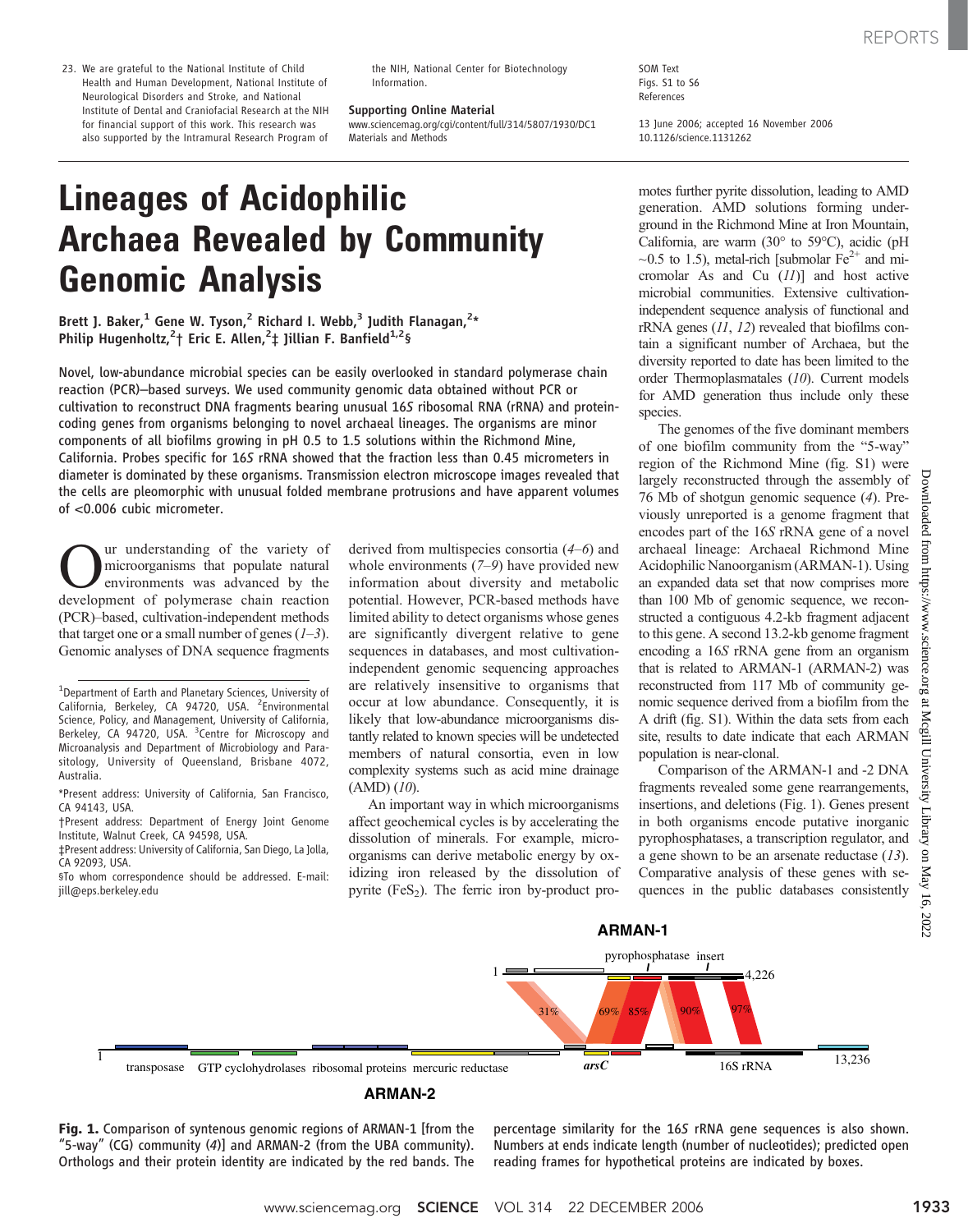the NIH, National Center for Biotechnology Information.

Supporting Online Material

www.sciencemag.org/cgi/content/full/314/5807/1930/DC1 Materials and Methods

SOM Text Figs. S1 to S6 References

13 June 2006; accepted 16 November 2006 10.1126/science.1131262

# Lineages of Acidophilic Archaea Revealed by Community Genomic Analysis

Brett J. Baker,<sup>1</sup> Gene W. Tyson,<sup>2</sup> Richard I. Webb,<sup>3</sup> Judith Flanagan,<sup>2</sup>\* Philip Hugenholtz,<sup>2</sup>† Eric E. Allen,<sup>2</sup>‡ Jillian F. Banfield<sup>1,2</sup>§

Novel, low-abundance microbial species can be easily overlooked in standard polymerase chain reaction (PCR)–based surveys. We used community genomic data obtained without PCR or cultivation to reconstruct DNA fragments bearing unusual 16S ribosomal RNA (rRNA) and proteincoding genes from organisms belonging to novel archaeal lineages. The organisms are minor components of all biofilms growing in pH 0.5 to 1.5 solutions within the Richmond Mine, California. Probes specific for 16S rRNA showed that the fraction less than 0.45 micrometers in diameter is dominated by these organisms. Transmission electron microscope images revealed that the cells are pleomorphic with unusual folded membrane protrusions and have apparent volumes of <0.006 cubic micrometer.

**Our** understanding of the variety of<br>microorganisms that populate natural<br>development of polymerase chain reaction microorganisms that populate natural environments was advanced by the development of polymerase chain reaction (PCR)–based, cultivation-independent methods that target one or a small number of genes  $(1-3)$ . Genomic analyses of DNA sequence fragments

derived from multispecies consortia (4–6) and whole environments (7–9) have provided new information about diversity and metabolic potential. However, PCR-based methods have limited ability to detect organisms whose genes are significantly divergent relative to gene sequences in databases, and most cultivationindependent genomic sequencing approaches are relatively insensitive to organisms that occur at low abundance. Consequently, it is likely that low-abundance microorganisms distantly related to known species will be undetected members of natural consortia, even in low complexity systems such as acid mine drainage  $(AMD)$   $(10)$ .

An important way in which microorganisms affect geochemical cycles is by accelerating the dissolution of minerals. For example, microorganisms can derive metabolic energy by oxidizing iron released by the dissolution of pyrite  $(FeS_2)$ . The ferric iron by-product promotes further pyrite dissolution, leading to AMD generation. AMD solutions forming underground in the Richmond Mine at Iron Mountain, California, are warm  $(30^{\circ}$  to 59 $^{\circ}$ C), acidic (pH  $\sim$ 0.5 to 1.5), metal-rich [submolar Fe<sup>2+</sup> and micromolar As and Cu  $(11)$ ] and host active microbial communities. Extensive cultivationindependent sequence analysis of functional and rRNA genes (11, 12) revealed that biofilms contain a significant number of Archaea, but the diversity reported to date has been limited to the order Thermoplasmatales (10). Current models for AMD generation thus include only these species.

The genomes of the five dominant members of one biofilm community from the "5-way" region of the Richmond Mine (fig. S1) were largely reconstructed through the assembly of 76 Mb of shotgun genomic sequence (4). Previously unreported is a genome fragment that encodes part of the 16S rRNA gene of a novel archaeal lineage: Archaeal Richmond Mine Acidophilic Nanoorganism (ARMAN-1). Using an expanded data set that now comprises more than 100 Mb of genomic sequence, we reconstructed a contiguous 4.2-kb fragment adjacent to this gene. A second 13.2-kb genome fragment encoding a 16S rRNA gene from an organism that is related to ARMAN-1 (ARMAN-2) was reconstructed from 117 Mb of community genomic sequence derived from a biofilm from the A drift (fig. S1). Within the data sets from each site, results to date indicate that each ARMAN population is near-clonal.

Comparison of the ARMAN-1 and -2 DNA fragments revealed some gene rearrangements, insertions, and deletions (Fig. 1). Genes present in both organisms encode putative inorganic pyrophosphatases, a transcription regulator, and a gene shown to be an arsenate reductase (13). Comparative analysis of these genes with sequences in the public databases consistently



### **ARMAN-2**

Fig. 1. Comparison of syntenous genomic regions of ARMAN-1 [from the "5-way" (CG) community (4)] and ARMAN-2 (from the UBA community). Orthologs and their protein identity are indicated by the red bands. The percentage similarity for the 16S rRNA gene sequences is also shown. Numbers at ends indicate length (number of nucleotides); predicted open reading frames for hypothetical proteins are indicated by boxes.

<sup>&</sup>lt;sup>1</sup>Department of Earth and Planetary Sciences, University of California, Berkeley, CA 94720, USA. <sup>2</sup> Environmental Science, Policy, and Management, University of California, Berkeley, CA 94720, USA. <sup>3</sup>Centre for Microscopy and Microanalysis and Department of Microbiology and Parasitology, University of Queensland, Brisbane 4072, Australia.

<sup>\*</sup>Present address: University of California, San Francisco, CA 94143, USA.

<sup>†</sup>Present address: Department of Energy Joint Genome Institute, Walnut Creek, CA 94598, USA.

<sup>‡</sup>Present address: University of California, San Diego, La Jolla, CA 92093, USA.

<sup>§</sup>To whom correspondence should be addressed. E-mail: jill@eps.berkeley.edu